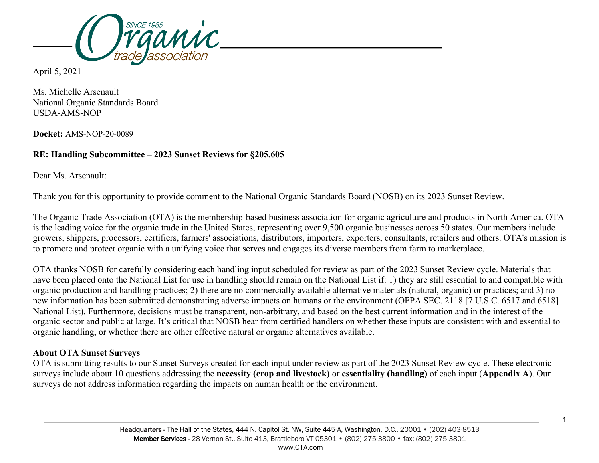

April 5, 2021

Ms. Michelle Arsenault National Organic Standards Board USDA-AMS-NOP

**Docket:** AMS-NOP-20-0089

# **RE: Handling Subcommittee – 2023 Sunset Reviews for §205.605**

Dear Ms. Arsenault:

Thank you for this opportunity to provide comment to the National Organic Standards Board (NOSB) on its 2023 Sunset Review.

The Organic Trade Association (OTA) is the membership-based business association for organic agriculture and products in North America. OTA is the leading voice for the organic trade in the United States, representing over 9,500 organic businesses across 50 states. Our members include growers, shippers, processors, certifiers, farmers' associations, distributors, importers, exporters, consultants, retailers and others. OTA's mission is to promote and protect organic with a unifying voice that serves and engages its diverse members from farm to marketplace.

OTA thanks NOSB for carefully considering each handling input scheduled for review as part of the 2023 Sunset Review cycle. Materials that have been placed onto the National List for use in handling should remain on the National List if: 1) they are still essential to and compatible with organic production and handling practices; 2) there are no commercially available alternative materials (natural, organic) or practices; and 3) no new information has been submitted demonstrating adverse impacts on humans or the environment (OFPA SEC. 2118 [7 U.S.C. 6517 and 6518] National List). Furthermore, decisions must be transparent, non-arbitrary, and based on the best current information and in the interest of the organic sector and public at large. It's critical that NOSB hear from certified handlers on whether these inputs are consistent with and essential to organic handling, or whether there are other effective natural or organic alternatives available.

# **About OTA Sunset Surveys**

OTA is submitting results to our Sunset Surveys created for each input under review as part of the 2023 Sunset Review cycle. These electronic surveys include about 10 questions addressing the **necessity (crop and livestock)** or **essentiality (handling)** of each input (**Appendix A**). Our surveys do not address information regarding the impacts on human health or the environment.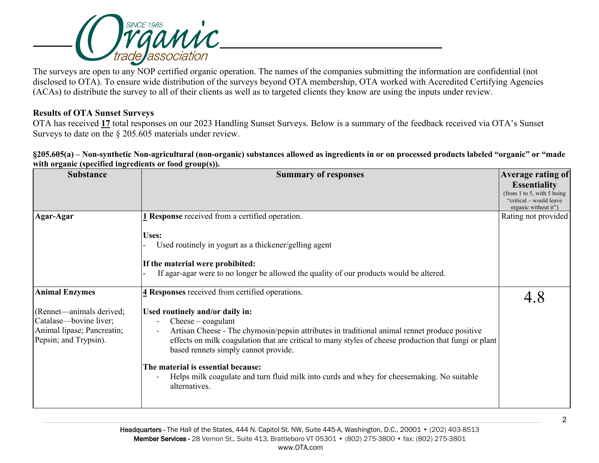

The surveys are open to any NOP certified organic operation. The names of the companies submitting the information are confidential (not disclosed to OTA). To ensure wide distribution of the surveys beyond OTA membership, OTA worked with Accredited Certifying Agencies (ACAs) to distribute the survey to all of their clients as well as to targeted clients they know are using the inputs under review.

## **Results of OTA Sunset Surveys**

OTA has received **17** total responses on our 2023 Handling Sunset Surveys. Below is a summary of the feedback received via OTA's Sunset Surveys to date on the § 205.605 materials under review.

**§205.605(a) – Non-synthetic Non-agricultural (non-organic) substances allowed as ingredients in or on processed products labeled "organic" or "made with organic (specified ingredients or food group(s)).**

| <b>Summary of responses</b>                                                                                                                                                                   | <b>Average rating of</b>                                                                                                                                                             |
|-----------------------------------------------------------------------------------------------------------------------------------------------------------------------------------------------|--------------------------------------------------------------------------------------------------------------------------------------------------------------------------------------|
|                                                                                                                                                                                               | <b>Essentiality</b><br>(from 1 to 5, with 5 being)<br>"critical – would leave"                                                                                                       |
|                                                                                                                                                                                               | organic without it")                                                                                                                                                                 |
|                                                                                                                                                                                               | Rating not provided                                                                                                                                                                  |
| Uses:<br>Used routinely in yogurt as a thickener/gelling agent<br>If the material were prohibited:<br>If agar-agar were to no longer be allowed the quality of our products would be altered. |                                                                                                                                                                                      |
| 4 Responses received from certified operations.                                                                                                                                               |                                                                                                                                                                                      |
| Used routinely and/or daily in:                                                                                                                                                               |                                                                                                                                                                                      |
|                                                                                                                                                                                               |                                                                                                                                                                                      |
| effects on milk coagulation that are critical to many styles of cheese production that fungi or plant<br>based rennets simply cannot provide.                                                 |                                                                                                                                                                                      |
| The material is essential because:                                                                                                                                                            |                                                                                                                                                                                      |
| Helps milk coagulate and turn fluid milk into curds and whey for cheesemaking. No suitable<br>alternatives.                                                                                   |                                                                                                                                                                                      |
|                                                                                                                                                                                               | 1 Response received from a certified operation.<br>$\text{Cheese}-\text{coagulant}$<br>Artisan Cheese - The chymosin/pepsin attributes in traditional animal rennet produce positive |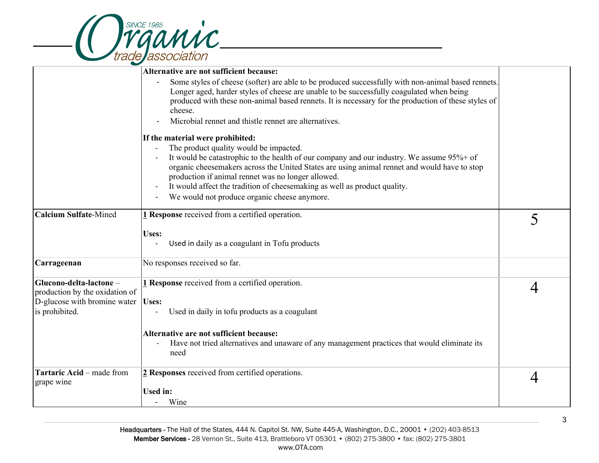|                                                                                                            | <b><i>YGQMMC</i></b>                                                                                                                                                                                                                                                                                                                                                                                                                                                                   |   |
|------------------------------------------------------------------------------------------------------------|----------------------------------------------------------------------------------------------------------------------------------------------------------------------------------------------------------------------------------------------------------------------------------------------------------------------------------------------------------------------------------------------------------------------------------------------------------------------------------------|---|
|                                                                                                            |                                                                                                                                                                                                                                                                                                                                                                                                                                                                                        |   |
|                                                                                                            | Alternative are not sufficient because:<br>Some styles of cheese (softer) are able to be produced successfully with non-animal based rennets.<br>Longer aged, harder styles of cheese are unable to be successfully coagulated when being<br>produced with these non-animal based rennets. It is necessary for the production of these styles of<br>cheese.<br>Microbial rennet and thistle rennet are alternatives.                                                                   |   |
|                                                                                                            | If the material were prohibited:<br>The product quality would be impacted.<br>It would be catastrophic to the health of our company and our industry. We assume 95%+ of<br>organic cheesemakers across the United States are using animal rennet and would have to stop<br>production if animal rennet was no longer allowed.<br>It would affect the tradition of cheesemaking as well as product quality.<br>$\overline{\phantom{a}}$<br>We would not produce organic cheese anymore. |   |
| <b>Calcium Sulfate-Mined</b>                                                                               | 1 Response received from a certified operation.<br>Uses:<br>Used in daily as a coagulant in Tofu products                                                                                                                                                                                                                                                                                                                                                                              | 5 |
| Carrageenan                                                                                                | No responses received so far.                                                                                                                                                                                                                                                                                                                                                                                                                                                          |   |
| Glucono-delta-lactone-<br>production by the oxidation of<br>D-glucose with bromine water<br>is prohibited. | 1 Response received from a certified operation.<br>Uses:<br>Used in daily in tofu products as a coagulant<br>Alternative are not sufficient because:<br>Have not tried alternatives and unaware of any management practices that would eliminate its<br>need                                                                                                                                                                                                                           | 4 |
| Tartaric Acid - made from<br>grape wine                                                                    | 2 Responses received from certified operations.<br><b>Used in:</b><br>Wine                                                                                                                                                                                                                                                                                                                                                                                                             | 4 |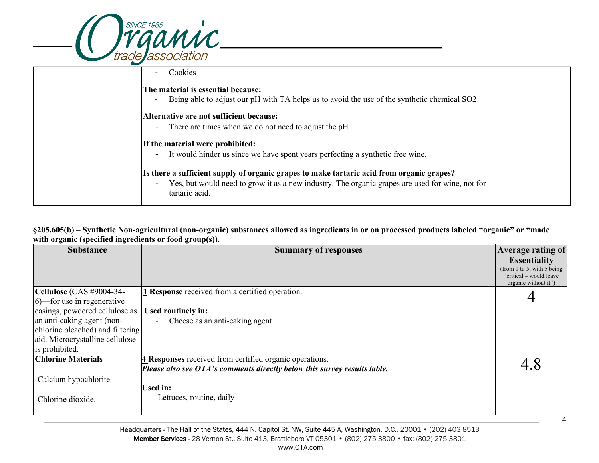| <b>GAMIC</b>                                                                                                                                                                                                                                                                                                                                                               |  |
|----------------------------------------------------------------------------------------------------------------------------------------------------------------------------------------------------------------------------------------------------------------------------------------------------------------------------------------------------------------------------|--|
| Cookies                                                                                                                                                                                                                                                                                                                                                                    |  |
| The material is essential because:<br>Being able to adjust our pH with TA helps us to avoid the use of the synthetic chemical SO2<br>$\overline{\phantom{a}}$<br>Alternative are not sufficient because:<br>There are times when we do not need to adjust the pH<br>$\blacksquare$                                                                                         |  |
| If the material were prohibited:<br>It would hinder us since we have spent years perfecting a synthetic free wine.<br>$\overline{\phantom{a}}$<br>Is there a sufficient supply of organic grapes to make tartaric acid from organic grapes?<br>Yes, but would need to grow it as a new industry. The organic grapes are used for wine, not for<br>$\overline{\phantom{0}}$ |  |
| tartaric acid.                                                                                                                                                                                                                                                                                                                                                             |  |

### **§205.605(b) – Synthetic Non-agricultural (non-organic) substances allowed as ingredients in or on processed products labeled "organic" or "made with organic (specified ingredients or food group(s)).**

| <b>Substance</b>                     | $\mathbf{\Xi}$<br>$\cdots$<br><b>Summary of responses</b>                | <b>Average rating of</b>                        |
|--------------------------------------|--------------------------------------------------------------------------|-------------------------------------------------|
|                                      |                                                                          | <b>Essentiality</b>                             |
|                                      |                                                                          | (from 1 to 5, with 5 being)                     |
|                                      |                                                                          | "critical - would leave<br>organic without it") |
| $ $ Cellulose (CAS #9004-34-         | 1 Response received from a certified operation.                          |                                                 |
| $ 6\rangle$ —for use in regenerative |                                                                          |                                                 |
| casings, powdered cellulose as       | Used routinely in:                                                       |                                                 |
| an anti-caking agent (non-           | Cheese as an anti-caking agent                                           |                                                 |
| chlorine bleached) and filtering     |                                                                          |                                                 |
| aid. Microcrystalline cellulose      |                                                                          |                                                 |
| is prohibited.                       |                                                                          |                                                 |
| <b>Chlorine Materials</b>            | 4 Responses received from certified organic operations.                  | 4.8                                             |
|                                      | Please also see OTA's comments directly below this survey results table. |                                                 |
| -Calcium hypochlorite.               |                                                                          |                                                 |
|                                      | <b>Used in:</b>                                                          |                                                 |
| -Chlorine dioxide.                   | Lettuces, routine, daily                                                 |                                                 |
|                                      |                                                                          |                                                 |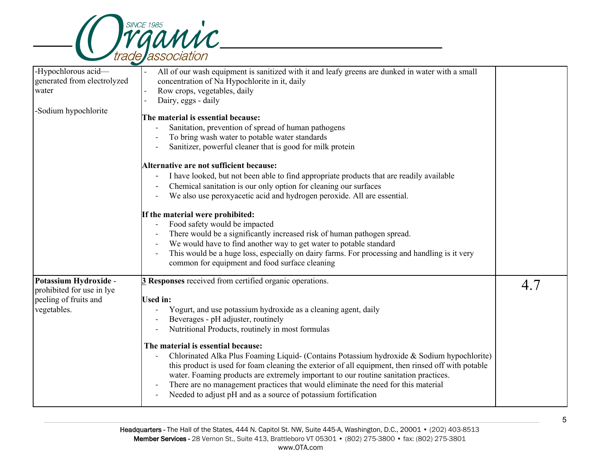

| -Hypochlorous acid-<br>generated from electrolyzed<br>water                                | All of our wash equipment is sanitized with it and leafy greens are dunked in water with a small<br>concentration of Na Hypochlorite in it, daily<br>Row crops, vegetables, daily<br>Dairy, eggs - daily                                                                                                                                                                                                                                                                                                                                                                                                                                                                                                                        |     |
|--------------------------------------------------------------------------------------------|---------------------------------------------------------------------------------------------------------------------------------------------------------------------------------------------------------------------------------------------------------------------------------------------------------------------------------------------------------------------------------------------------------------------------------------------------------------------------------------------------------------------------------------------------------------------------------------------------------------------------------------------------------------------------------------------------------------------------------|-----|
| -Sodium hypochlorite                                                                       | The material is essential because:<br>Sanitation, prevention of spread of human pathogens<br>To bring wash water to potable water standards<br>Sanitizer, powerful cleaner that is good for milk protein<br>Alternative are not sufficient because:<br>I have looked, but not been able to find appropriate products that are readily available<br>Chemical sanitation is our only option for cleaning our surfaces<br>We also use peroxyacetic acid and hydrogen peroxide. All are essential.<br>If the material were prohibited:                                                                                                                                                                                              |     |
|                                                                                            | Food safety would be impacted<br>There would be a significantly increased risk of human pathogen spread.<br>We would have to find another way to get water to potable standard<br>This would be a huge loss, especially on dairy farms. For processing and handling is it very<br>common for equipment and food surface cleaning                                                                                                                                                                                                                                                                                                                                                                                                |     |
| Potassium Hydroxide -<br>prohibited for use in lye<br>peeling of fruits and<br>vegetables. | 3 Responses received from certified organic operations.<br><b>Used in:</b><br>Yogurt, and use potassium hydroxide as a cleaning agent, daily<br>Beverages - pH adjuster, routinely<br>Nutritional Products, routinely in most formulas<br>The material is essential because:<br>Chlorinated Alka Plus Foaming Liquid- (Contains Potassium hydroxide & Sodium hypochlorite)<br>this product is used for foam cleaning the exterior of all equipment, then rinsed off with potable<br>water. Foaming products are extremely important to our routine sanitation practices.<br>There are no management practices that would eliminate the need for this material<br>Needed to adjust pH and as a source of potassium fortification | 4.7 |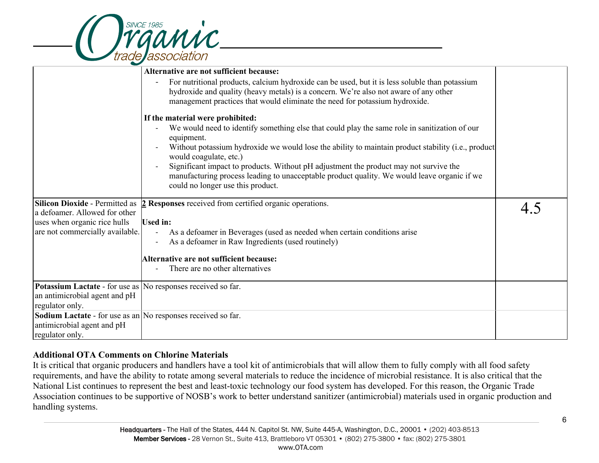

|                                                                     | Alternative are not sufficient because:                                                                                                                                                                                                                               |     |
|---------------------------------------------------------------------|-----------------------------------------------------------------------------------------------------------------------------------------------------------------------------------------------------------------------------------------------------------------------|-----|
|                                                                     | For nutritional products, calcium hydroxide can be used, but it is less soluble than potassium<br>hydroxide and quality (heavy metals) is a concern. We're also not aware of any other<br>management practices that would eliminate the need for potassium hydroxide. |     |
|                                                                     | If the material were prohibited:                                                                                                                                                                                                                                      |     |
|                                                                     | We would need to identify something else that could play the same role in sanitization of our<br>equipment.<br>Without potassium hydroxide we would lose the ability to maintain product stability (i.e., product                                                     |     |
|                                                                     | would coagulate, etc.)                                                                                                                                                                                                                                                |     |
|                                                                     | Significant impact to products. Without pH adjustment the product may not survive the<br>manufacturing process leading to unacceptable product quality. We would leave organic if we<br>could no longer use this product.                                             |     |
| <b>Silicon Dioxide - Permitted as</b>                               | 2 Responses received from certified organic operations.                                                                                                                                                                                                               | 4.5 |
| a defoamer. Allowed for other                                       |                                                                                                                                                                                                                                                                       |     |
| uses when organic rice hulls                                        | <b>Used in:</b>                                                                                                                                                                                                                                                       |     |
| are not commercially available.                                     | As a defoamer in Beverages (used as needed when certain conditions arise                                                                                                                                                                                              |     |
|                                                                     | As a defoamer in Raw Ingredients (used routinely)                                                                                                                                                                                                                     |     |
|                                                                     | Alternative are not sufficient because:                                                                                                                                                                                                                               |     |
|                                                                     | There are no other alternatives                                                                                                                                                                                                                                       |     |
| <b>Potassium Lactate - for use as No responses received so far.</b> |                                                                                                                                                                                                                                                                       |     |
| an antimicrobial agent and pH                                       |                                                                                                                                                                                                                                                                       |     |
| regulator only.                                                     |                                                                                                                                                                                                                                                                       |     |
| Sodium Lactate - for use as an No responses received so far.        |                                                                                                                                                                                                                                                                       |     |
| antimicrobial agent and pH                                          |                                                                                                                                                                                                                                                                       |     |
| regulator only.                                                     |                                                                                                                                                                                                                                                                       |     |

# **Additional OTA Comments on Chlorine Materials**

It is critical that organic producers and handlers have a tool kit of antimicrobials that will allow them to fully comply with all food safety requirements, and have the ability to rotate among several materials to reduce the incidence of microbial resistance. It is also critical that the National List continues to represent the best and least-toxic technology our food system has developed. For this reason, the Organic Trade Association continues to be supportive of NOSB's work to better understand sanitizer (antimicrobial) materials used in organic production and handling systems.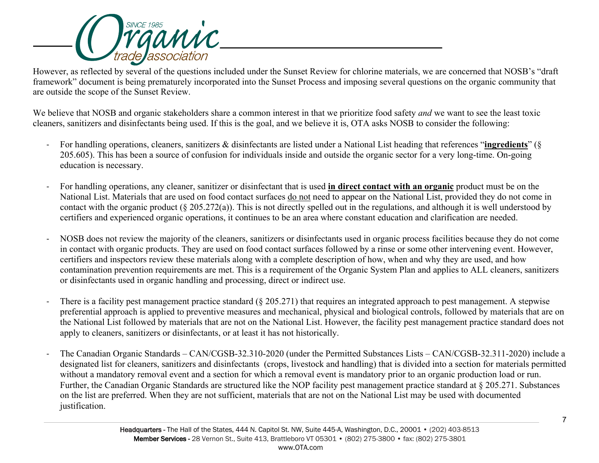

However, as reflected by several of the questions included under the Sunset Review for chlorine materials, we are concerned that NOSB's "draft framework" document is being prematurely incorporated into the Sunset Process and imposing several questions on the organic community that are outside the scope of the Sunset Review.

We believe that NOSB and organic stakeholders share a common interest in that we prioritize food safety *and* we want to see the least toxic cleaners, sanitizers and disinfectants being used. If this is the goal, and we believe it is, OTA asks NOSB to consider the following:

- For handling operations, cleaners, sanitizers & disinfectants are listed under a National List heading that references "**ingredients**" (§ 205.605). This has been a source of confusion for individuals inside and outside the organic sector for a very long-time. On-going education is necessary.
- For handling operations, any cleaner, sanitizer or disinfectant that is used **in direct contact with an organic** product must be on the National List. Materials that are used on food contact surfaces do not need to appear on the National List, provided they do not come in contact with the organic product (§ 205.272(a)). This is not directly spelled out in the regulations, and although it is well understood by certifiers and experienced organic operations, it continues to be an area where constant education and clarification are needed.
- NOSB does not review the majority of the cleaners, sanitizers or disinfectants used in organic process facilities because they do not come in contact with organic products. They are used on food contact surfaces followed by a rinse or some other intervening event. However, certifiers and inspectors review these materials along with a complete description of how, when and why they are used, and how contamination prevention requirements are met. This is a requirement of the Organic System Plan and applies to ALL cleaners, sanitizers or disinfectants used in organic handling and processing, direct or indirect use.
- There is a facility pest management practice standard (§ 205.271) that requires an integrated approach to pest management. A stepwise preferential approach is applied to preventive measures and mechanical, physical and biological controls, followed by materials that are on the National List followed by materials that are not on the National List. However, the facility pest management practice standard does not apply to cleaners, sanitizers or disinfectants, or at least it has not historically.
- The Canadian Organic Standards CAN/CGSB-32.310-2020 (under the Permitted Substances Lists CAN/CGSB-32.311-2020) include a designated list for cleaners, sanitizers and disinfectants (crops, livestock and handling) that is divided into a section for materials permitted without a mandatory removal event and a section for which a removal event is mandatory prior to an organic production load or run. Further, the Canadian Organic Standards are structured like the NOP facility pest management practice standard at § 205.271. Substances on the list are preferred. When they are not sufficient, materials that are not on the National List may be used with documented justification.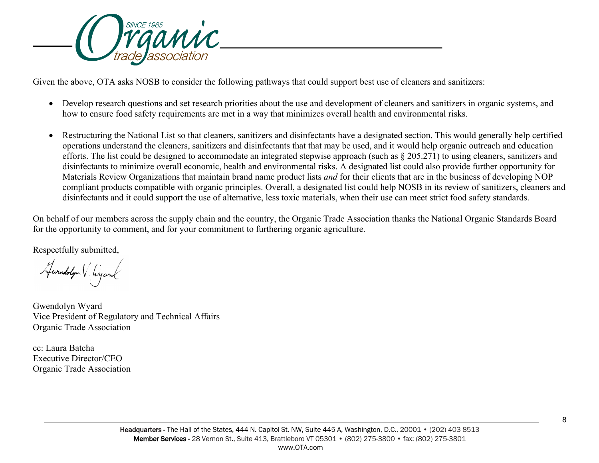

Given the above, OTA asks NOSB to consider the following pathways that could support best use of cleaners and sanitizers:

- Develop research questions and set research priorities about the use and development of cleaners and sanitizers in organic systems, and how to ensure food safety requirements are met in a way that minimizes overall health and environmental risks.
- Restructuring the National List so that cleaners, sanitizers and disinfectants have a designated section. This would generally help certified operations understand the cleaners, sanitizers and disinfectants that that may be used, and it would help organic outreach and education efforts. The list could be designed to accommodate an integrated stepwise approach (such as § 205.271) to using cleaners, sanitizers and disinfectants to minimize overall economic, health and environmental risks. A designated list could also provide further opportunity for Materials Review Organizations that maintain brand name product lists *and* for their clients that are in the business of developing NOP compliant products compatible with organic principles. Overall, a designated list could help NOSB in its review of sanitizers, cleaners and disinfectants and it could support the use of alternative, less toxic materials, when their use can meet strict food safety standards.

On behalf of our members across the supply chain and the country, the Organic Trade Association thanks the National Organic Standards Board for the opportunity to comment, and for your commitment to furthering organic agriculture.

Respectfully submitted,

Hwendolyn V. Wyank

Gwendolyn Wyard Vice President of Regulatory and Technical Affairs Organic Trade Association

cc: Laura Batcha Executive Director/CEO Organic Trade Association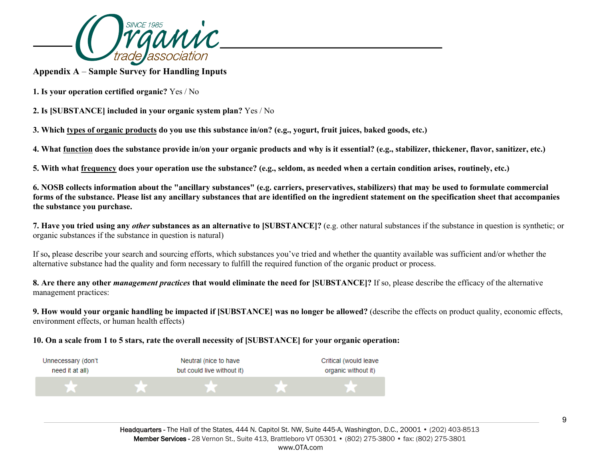

**Appendix A** – **Sample Survey for Handling Inputs**

**1. Is your operation certified organic?** Yes / No

**2. Is [SUBSTANCE] included in your organic system plan?** Yes / No

3. Which types of organic products do you use this substance in/on? (e.g., yogurt, fruit juices, baked goods, etc.)

4. What function does the substance provide in/on your organic products and why is it essential? (e.g., stabilizer, thickener, flavor, sanitizer, etc.)

5. With what frequency does your operation use the substance? (e.g., seldom, as needed when a certain condition arises, routinely, etc.)

6. NOSB collects information about the "ancillary substances" (e.g. carriers, preservatives, stabilizers) that may be used to formulate commercial forms of the substance. Please list any ancillary substances that are identified on the ingredient statement on the specification sheet that accompanies **the substance you purchase.**

7. Have you tried using any other substances as an alternative to [SUBSTANCE]? (e.g. other natural substances if the substance in question is synthetic; or organic substances if the substance in question is natural)

If so**,** please describe your search and sourcing efforts, which substances you've tried and whether the quantity available was sufficient and/or whether the alternative substance had the quality and form necessary to fulfill the required function of the organic product or process.

8. Are there any other *management practices* that would eliminate the need for [SUBSTANCE]? If so, please describe the efficacy of the alternative management practices:

9. How would your organic handling be impacted if [SUBSTANCE] was no longer be allowed? (describe the effects on product quality, economic effects, environment effects, or human health effects)

10. On a scale from 1 to 5 stars, rate the overall necessity of [SUBSTANCE] for your organic operation: